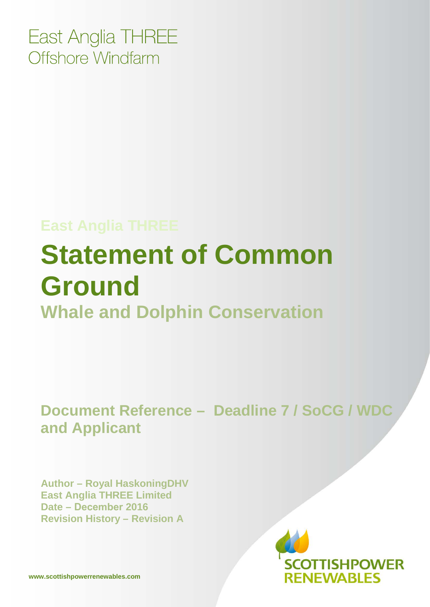East Anglia THREE Offshore Windfarm

### **East Anglia THREE**

# **Statement of Common Ground Whale and Dolphin Conservation**

**Document Reference – Deadline 7 / SoCG / WDC and Applicant**

**Author – Royal HaskoningDHV East Anglia THREE Limited Date – December 2016 Revision History – Revision A** 

> **TISHPOWER RENEWABLES**

**www.scottishpowerrenewables.com**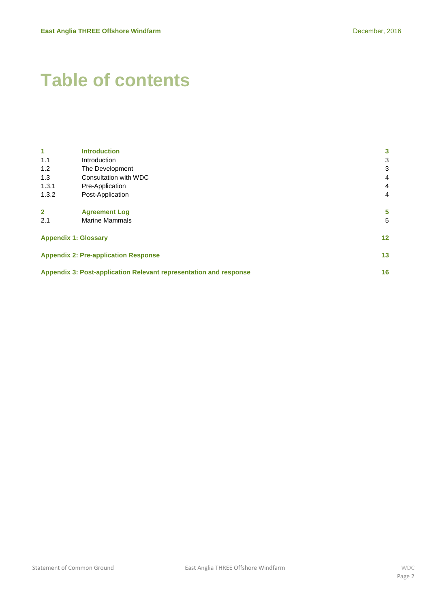# **Table of contents**

| 1                                           | <b>Introduction</b>                                                     | 3                 |  |
|---------------------------------------------|-------------------------------------------------------------------------|-------------------|--|
| 1.1                                         | Introduction                                                            | 3                 |  |
| 1.2                                         | The Development                                                         | 3                 |  |
| 1.3                                         | Consultation with WDC                                                   | 4                 |  |
| 1.3.1                                       | Pre-Application                                                         | 4                 |  |
| 1.3.2                                       | Post-Application                                                        | 4                 |  |
|                                             |                                                                         |                   |  |
| $\mathbf{2}$                                | <b>Agreement Log</b>                                                    | 5                 |  |
| 2.1                                         | <b>Marine Mammals</b>                                                   | 5                 |  |
|                                             |                                                                         |                   |  |
| <b>Appendix 1: Glossary</b>                 |                                                                         | $12 \overline{ }$ |  |
|                                             |                                                                         |                   |  |
| <b>Appendix 2: Pre-application Response</b> |                                                                         | 13                |  |
|                                             | Appendix 3: Post-application Relevant representation and response<br>16 |                   |  |
|                                             |                                                                         |                   |  |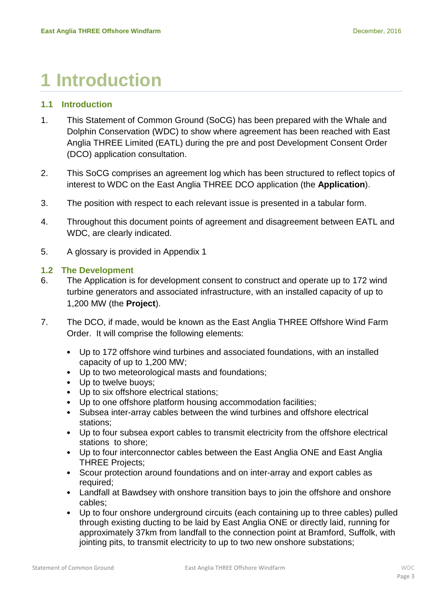# <span id="page-2-0"></span>**1 Introduction**

### <span id="page-2-1"></span>**1.1 Introduction**

- 1. This Statement of Common Ground (SoCG) has been prepared with the Whale and Dolphin Conservation (WDC) to show where agreement has been reached with East Anglia THREE Limited (EATL) during the pre and post Development Consent Order (DCO) application consultation.
- 2. This SoCG comprises an agreement log which has been structured to reflect topics of interest to WDC on the East Anglia THREE DCO application (the **Application**).
- 3. The position with respect to each relevant issue is presented in a tabular form.
- 4. Throughout this document points of agreement and disagreement between EATL and WDC, are clearly indicated.
- 5. A glossary is provided in Appendix 1

#### <span id="page-2-2"></span>**1.2 The Development**

- 6. The Application is for development consent to construct and operate up to 172 wind turbine generators and associated infrastructure, with an installed capacity of up to 1,200 MW (the **Project**).
- 7. The DCO, if made, would be known as the East Anglia THREE Offshore Wind Farm Order. It will comprise the following elements:
	- Up to 172 offshore wind turbines and associated foundations, with an installed capacity of up to 1,200 MW;
	- Up to two meteorological masts and foundations;
	- Up to twelve buoys;
	- Up to six offshore electrical stations;
	- Up to one offshore platform housing accommodation facilities;
	- Subsea inter-array cables between the wind turbines and offshore electrical stations;
	- Up to four subsea export cables to transmit electricity from the offshore electrical stations to shore;
	- Up to four interconnector cables between the East Anglia ONE and East Anglia THREE Projects;
	- Scour protection around foundations and on inter-array and export cables as required;
	- Landfall at Bawdsey with onshore transition bays to join the offshore and onshore cables;
	- Up to four onshore underground circuits (each containing up to three cables) pulled through existing ducting to be laid by East Anglia ONE or directly laid, running for approximately 37km from landfall to the connection point at Bramford, Suffolk, with jointing pits, to transmit electricity to up to two new onshore substations;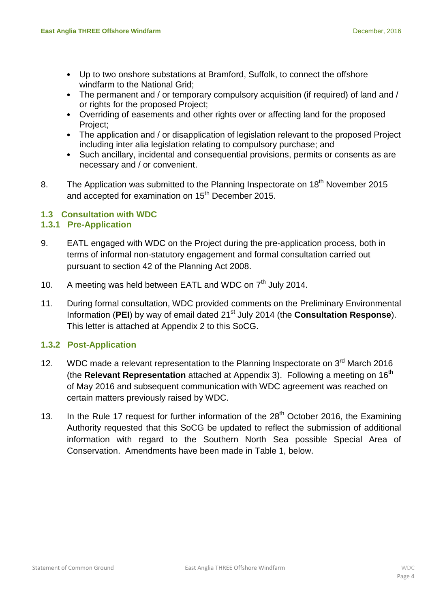- Up to two onshore substations at Bramford, Suffolk, to connect the offshore windfarm to the National Grid;
- The permanent and / or temporary compulsory acquisition (if required) of land and / or rights for the proposed Project;
- Overriding of easements and other rights over or affecting land for the proposed Project;
- The application and / or disapplication of legislation relevant to the proposed Project including inter alia legislation relating to compulsory purchase; and
- Such ancillary, incidental and consequential provisions, permits or consents as are necessary and / or convenient.
- 8. The Application was submitted to the Planning Inspectorate on 18<sup>th</sup> November 2015 and accepted for examination on  $15<sup>th</sup>$  December 2015.

### <span id="page-3-0"></span>**1.3 Consultation with WDC**

#### <span id="page-3-1"></span>**1.3.1 Pre-Application**

- 9. EATL engaged with WDC on the Project during the pre-application process, both in terms of informal non-statutory engagement and formal consultation carried out pursuant to section 42 of the Planning Act 2008.
- 10. A meeting was held between EATL and WDC on  $7<sup>th</sup>$  July 2014.
- 11. During formal consultation, WDC provided comments on the Preliminary Environmental Information (PEI) by way of email dated 21<sup>st</sup> July 2014 (the **Consultation Response**). This letter is attached at Appendix 2 to this SoCG.

### <span id="page-3-2"></span>**1.3.2 Post-Application**

- 12. WDC made a relevant representation to the Planning Inspectorate on  $3<sup>rd</sup>$  March 2016 (the **Relevant Representation** attached at Appendix 3). Following a meeting on 16th of May 2016 and subsequent communication with WDC agreement was reached on certain matters previously raised by WDC.
- 13. In the Rule 17 request for further information of the  $28<sup>th</sup>$  October 2016, the Examining Authority requested that this SoCG be updated to reflect the submission of additional information with regard to the Southern North Sea possible Special Area of Conservation. Amendments have been made in Table 1, below.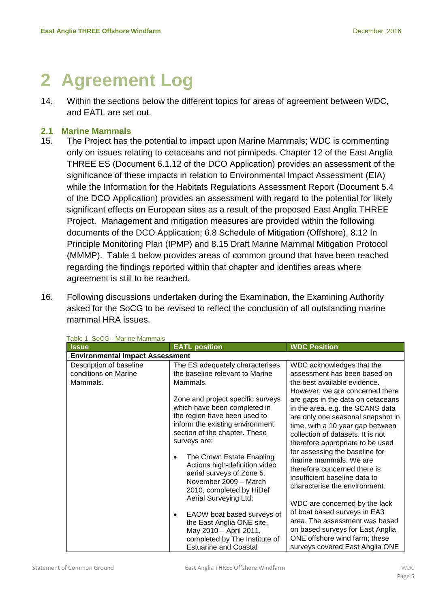# <span id="page-4-0"></span>**2 Agreement Log**

14. Within the sections below the different topics for areas of agreement between WDC, and EATL are set out.

#### <span id="page-4-1"></span>**2.1 Marine Mammals**

- 15. The Project has the potential to impact upon Marine Mammals; WDC is commenting only on issues relating to cetaceans and not pinnipeds. Chapter 12 of the East Anglia THREE ES (Document 6.1.12 of the DCO Application) provides an assessment of the significance of these impacts in relation to Environmental Impact Assessment (EIA) while the Information for the Habitats Regulations Assessment Report (Document 5.4 of the DCO Application) provides an assessment with regard to the potential for likely significant effects on European sites as a result of the proposed East Anglia THREE Project. Management and mitigation measures are provided within the following documents of the DCO Application; 6.8 Schedule of Mitigation (Offshore), 8.12 In Principle Monitoring Plan (IPMP) and 8.15 Draft Marine Mammal Mitigation Protocol (MMMP). Table 1 below provides areas of common ground that have been reached regarding the findings reported within that chapter and identifies areas where agreement is still to be reached.
- 16. Following discussions undertaken during the Examination, the Examining Authority asked for the SoCG to be revised to reflect the conclusion of all outstanding marine mammal HRA issues.

| <b>Issue</b>                           | <b>EATL position</b>                   | <b>WDC Position</b>               |
|----------------------------------------|----------------------------------------|-----------------------------------|
| <b>Environmental Impact Assessment</b> |                                        |                                   |
| Description of baseline                | The ES adequately characterises        | WDC acknowledges that the         |
| conditions on Marine                   | the baseline relevant to Marine        | assessment has been based on      |
| Mammals.                               | Mammals.                               | the best available evidence.      |
|                                        |                                        | However, we are concerned there   |
|                                        | Zone and project specific surveys      | are gaps in the data on cetaceans |
|                                        | which have been completed in           | in the area. e.g. the SCANS data  |
|                                        | the region have been used to           | are only one seasonal snapshot in |
|                                        | inform the existing environment        | time, with a 10 year gap between  |
|                                        | section of the chapter. These          | collection of datasets. It is not |
|                                        | surveys are:                           | therefore appropriate to be used  |
|                                        | The Crown Estate Enabling<br>$\bullet$ | for assessing the baseline for    |
|                                        | Actions high-definition video          | marine mammals. We are            |
|                                        | aerial surveys of Zone 5.              | therefore concerned there is      |
|                                        | November 2009 - March                  | insufficient baseline data to     |
|                                        | 2010, completed by HiDef               | characterise the environment.     |
|                                        | Aerial Surveying Ltd;                  |                                   |
|                                        |                                        | WDC are concerned by the lack     |
|                                        | EAOW boat based surveys of             | of boat based surveys in EA3      |
|                                        | the East Anglia ONE site,              | area. The assessment was based    |
|                                        | May 2010 - April 2011,                 | on based surveys for East Anglia  |
|                                        | completed by The Institute of          | ONE offshore wind farm; these     |
|                                        | <b>Estuarine and Coastal</b>           | surveys covered East Anglia ONE   |

#### Table 1. SoCG - Marine Mammals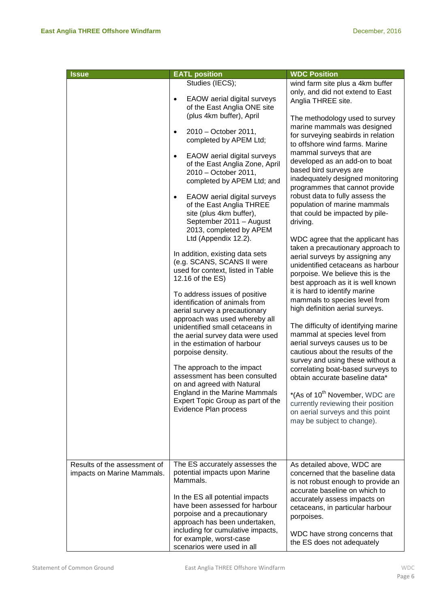| <b>Issue</b>                                               | <b>EATL position</b>                                                                                                                                                                                                                                                                                                                                                                                                                                                                                                                                                                                                                                                                                                                                                                                                                                                                                                                                                                                                                                                                              | <b>WDC Position</b>                                                                                                                                                                                                                                                                                                                                                                                                                                                                                                                                                                                                                                                                                                                                                                                                                                                                                                                                                                                                                                                                                                                                                                                                                                               |
|------------------------------------------------------------|---------------------------------------------------------------------------------------------------------------------------------------------------------------------------------------------------------------------------------------------------------------------------------------------------------------------------------------------------------------------------------------------------------------------------------------------------------------------------------------------------------------------------------------------------------------------------------------------------------------------------------------------------------------------------------------------------------------------------------------------------------------------------------------------------------------------------------------------------------------------------------------------------------------------------------------------------------------------------------------------------------------------------------------------------------------------------------------------------|-------------------------------------------------------------------------------------------------------------------------------------------------------------------------------------------------------------------------------------------------------------------------------------------------------------------------------------------------------------------------------------------------------------------------------------------------------------------------------------------------------------------------------------------------------------------------------------------------------------------------------------------------------------------------------------------------------------------------------------------------------------------------------------------------------------------------------------------------------------------------------------------------------------------------------------------------------------------------------------------------------------------------------------------------------------------------------------------------------------------------------------------------------------------------------------------------------------------------------------------------------------------|
|                                                            | Studies (IECS);<br>EAOW aerial digital surveys<br>$\bullet$<br>of the East Anglia ONE site<br>(plus 4km buffer), April<br>2010 - October 2011,<br>$\bullet$<br>completed by APEM Ltd;<br>EAOW aerial digital surveys<br>$\bullet$<br>of the East Anglia Zone, April<br>2010 - October 2011,<br>completed by APEM Ltd; and<br>EAOW aerial digital surveys<br>$\bullet$<br>of the East Anglia THREE<br>site (plus 4km buffer),<br>September 2011 - August<br>2013, completed by APEM<br>Ltd (Appendix 12.2).<br>In addition, existing data sets<br>(e.g. SCANS, SCANS II were<br>used for context, listed in Table<br>12.16 of the ES)<br>To address issues of positive<br>identification of animals from<br>aerial survey a precautionary<br>approach was used whereby all<br>unidentified small cetaceans in<br>the aerial survey data were used<br>in the estimation of harbour<br>porpoise density.<br>The approach to the impact<br>assessment has been consulted<br>on and agreed with Natural<br>England in the Marine Mammals<br>Expert Topic Group as part of the<br>Evidence Plan process | wind farm site plus a 4km buffer<br>only, and did not extend to East<br>Anglia THREE site.<br>The methodology used to survey<br>marine mammals was designed<br>for surveying seabirds in relation<br>to offshore wind farms. Marine<br>mammal surveys that are<br>developed as an add-on to boat<br>based bird surveys are<br>inadequately designed monitoring<br>programmes that cannot provide<br>robust data to fully assess the<br>population of marine mammals<br>that could be impacted by pile-<br>driving.<br>WDC agree that the applicant has<br>taken a precautionary approach to<br>aerial surveys by assigning any<br>unidentified cetaceans as harbour<br>porpoise. We believe this is the<br>best approach as it is well known<br>it is hard to identify marine<br>mammals to species level from<br>high definition aerial surveys.<br>The difficulty of identifying marine<br>mammal at species level from<br>aerial surveys causes us to be<br>cautious about the results of the<br>survey and using these without a<br>correlating boat-based surveys to<br>obtain accurate baseline data*<br>*(As of 10 <sup>th</sup> November, WDC are<br>currently reviewing their position<br>on aerial surveys and this point<br>may be subject to change). |
| Results of the assessment of<br>impacts on Marine Mammals. | The ES accurately assesses the<br>potential impacts upon Marine<br>Mammals.<br>In the ES all potential impacts<br>have been assessed for harbour<br>porpoise and a precautionary<br>approach has been undertaken,<br>including for cumulative impacts,<br>for example, worst-case<br>scenarios were used in all                                                                                                                                                                                                                                                                                                                                                                                                                                                                                                                                                                                                                                                                                                                                                                                   | As detailed above, WDC are<br>concerned that the baseline data<br>is not robust enough to provide an<br>accurate baseline on which to<br>accurately assess impacts on<br>cetaceans, in particular harbour<br>porpoises.<br>WDC have strong concerns that<br>the ES does not adequately                                                                                                                                                                                                                                                                                                                                                                                                                                                                                                                                                                                                                                                                                                                                                                                                                                                                                                                                                                            |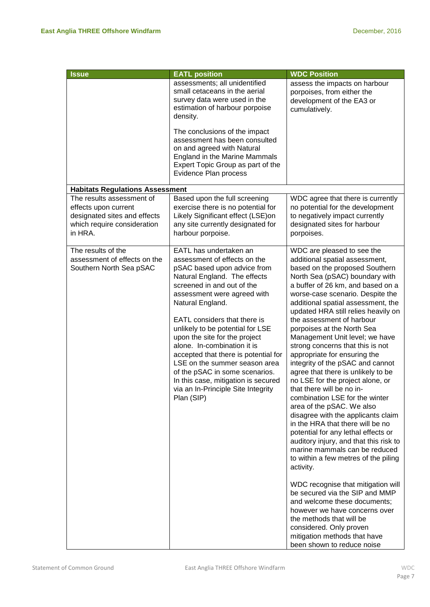| <b>Issue</b>                                                                                                                | <b>EATL position</b>                                                                                                                                                                                                                                                                                                                                                                                                                                                                                                                             | <b>WDC Position</b>                                                                                                                                                                                                                                                                                                                                                                                                                                                                                                                                                                                                                                                                                                                                                                                                                                                                                                                                                                                                                                                                                                                                                              |
|-----------------------------------------------------------------------------------------------------------------------------|--------------------------------------------------------------------------------------------------------------------------------------------------------------------------------------------------------------------------------------------------------------------------------------------------------------------------------------------------------------------------------------------------------------------------------------------------------------------------------------------------------------------------------------------------|----------------------------------------------------------------------------------------------------------------------------------------------------------------------------------------------------------------------------------------------------------------------------------------------------------------------------------------------------------------------------------------------------------------------------------------------------------------------------------------------------------------------------------------------------------------------------------------------------------------------------------------------------------------------------------------------------------------------------------------------------------------------------------------------------------------------------------------------------------------------------------------------------------------------------------------------------------------------------------------------------------------------------------------------------------------------------------------------------------------------------------------------------------------------------------|
|                                                                                                                             | assessments; all unidentified<br>small cetaceans in the aerial<br>survey data were used in the<br>estimation of harbour porpoise<br>density.                                                                                                                                                                                                                                                                                                                                                                                                     | assess the impacts on harbour<br>porpoises, from either the<br>development of the EA3 or<br>cumulatively.                                                                                                                                                                                                                                                                                                                                                                                                                                                                                                                                                                                                                                                                                                                                                                                                                                                                                                                                                                                                                                                                        |
|                                                                                                                             | The conclusions of the impact<br>assessment has been consulted<br>on and agreed with Natural<br>England in the Marine Mammals<br>Expert Topic Group as part of the<br>Evidence Plan process                                                                                                                                                                                                                                                                                                                                                      |                                                                                                                                                                                                                                                                                                                                                                                                                                                                                                                                                                                                                                                                                                                                                                                                                                                                                                                                                                                                                                                                                                                                                                                  |
| <b>Habitats Regulations Assessment</b>                                                                                      |                                                                                                                                                                                                                                                                                                                                                                                                                                                                                                                                                  |                                                                                                                                                                                                                                                                                                                                                                                                                                                                                                                                                                                                                                                                                                                                                                                                                                                                                                                                                                                                                                                                                                                                                                                  |
| The results assessment of<br>effects upon current<br>designated sites and effects<br>which require consideration<br>in HRA. | Based upon the full screening<br>exercise there is no potential for<br>Likely Significant effect (LSE)on<br>any site currently designated for<br>harbour porpoise.                                                                                                                                                                                                                                                                                                                                                                               | WDC agree that there is currently<br>no potential for the development<br>to negatively impact currently<br>designated sites for harbour<br>porpoises.                                                                                                                                                                                                                                                                                                                                                                                                                                                                                                                                                                                                                                                                                                                                                                                                                                                                                                                                                                                                                            |
| The results of the<br>assessment of effects on the<br>Southern North Sea pSAC                                               | EATL has undertaken an<br>assessment of effects on the<br>pSAC based upon advice from<br>Natural England. The effects<br>screened in and out of the<br>assessment were agreed with<br>Natural England.<br>EATL considers that there is<br>unlikely to be potential for LSE<br>upon the site for the project<br>alone. In-combination it is<br>accepted that there is potential for<br>LSE on the summer season area<br>of the pSAC in some scenarios.<br>In this case, mitigation is secured<br>via an In-Principle Site Integrity<br>Plan (SIP) | WDC are pleased to see the<br>additional spatial assessment,<br>based on the proposed Southern<br>North Sea (pSAC) boundary with<br>a buffer of 26 km, and based on a<br>worse-case scenario. Despite the<br>additional spatial assessment, the<br>updated HRA still relies heavily on<br>the assessment of harbour<br>porpoises at the North Sea<br>Management Unit level; we have<br>strong concerns that this is not<br>appropriate for ensuring the<br>integrity of the pSAC and cannot<br>agree that there is unlikely to be<br>no LSE for the project alone, or<br>that there will be no in-<br>combination LSE for the winter<br>area of the pSAC. We also<br>disagree with the applicants claim<br>in the HRA that there will be no<br>potential for any lethal effects or<br>auditory injury, and that this risk to<br>marine mammals can be reduced<br>to within a few metres of the piling<br>activity.<br>WDC recognise that mitigation will<br>be secured via the SIP and MMP<br>and welcome these documents;<br>however we have concerns over<br>the methods that will be<br>considered. Only proven<br>mitigation methods that have<br>been shown to reduce noise |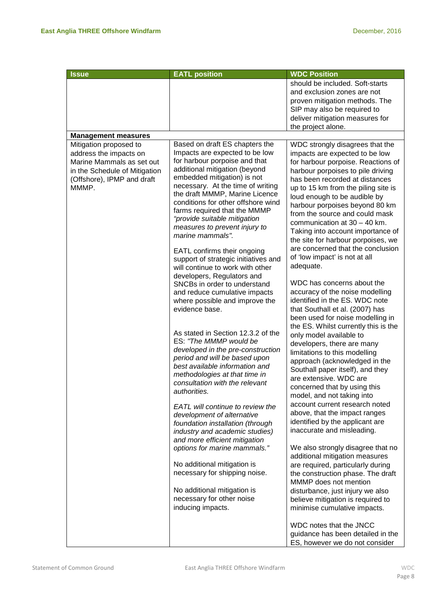| <b>Issue</b>                                                                                                                                          | <b>EATL position</b>                                                                                                                                                                                                                                                                                                                                                                                                                                                                                           | <b>WDC Position</b>                                                                                                                                                                                                                                                                                                                                                                                                                                                                                                       |
|-------------------------------------------------------------------------------------------------------------------------------------------------------|----------------------------------------------------------------------------------------------------------------------------------------------------------------------------------------------------------------------------------------------------------------------------------------------------------------------------------------------------------------------------------------------------------------------------------------------------------------------------------------------------------------|---------------------------------------------------------------------------------------------------------------------------------------------------------------------------------------------------------------------------------------------------------------------------------------------------------------------------------------------------------------------------------------------------------------------------------------------------------------------------------------------------------------------------|
|                                                                                                                                                       |                                                                                                                                                                                                                                                                                                                                                                                                                                                                                                                | should be included. Soft-starts<br>and exclusion zones are not<br>proven mitigation methods. The<br>SIP may also be required to<br>deliver mitigation measures for<br>the project alone.                                                                                                                                                                                                                                                                                                                                  |
| <b>Management measures</b>                                                                                                                            |                                                                                                                                                                                                                                                                                                                                                                                                                                                                                                                |                                                                                                                                                                                                                                                                                                                                                                                                                                                                                                                           |
| Mitigation proposed to<br>address the impacts on<br>Marine Mammals as set out<br>in the Schedule of Mitigation<br>(Offshore), IPMP and draft<br>MMMP. | Based on draft ES chapters the<br>Impacts are expected to be low<br>for harbour porpoise and that<br>additional mitigation (beyond<br>embedded mitigation) is not<br>necessary. At the time of writing<br>the draft MMMP, Marine Licence<br>conditions for other offshore wind<br>farms required that the MMMP<br>"provide suitable mitigation<br>measures to prevent injury to<br>marine mammals".<br>EATL confirms their ongoing<br>support of strategic initiatives and<br>will continue to work with other | WDC strongly disagrees that the<br>impacts are expected to be low<br>for harbour porpoise. Reactions of<br>harbour porpoises to pile driving<br>has been recorded at distances<br>up to 15 km from the piling site is<br>loud enough to be audible by<br>harbour porpoises beyond 80 km<br>from the source and could mask<br>communication at $30 - 40$ km.<br>Taking into account importance of<br>the site for harbour porpoises, we<br>are concerned that the conclusion<br>of 'low impact' is not at all<br>adequate. |
|                                                                                                                                                       | developers, Regulators and<br>SNCBs in order to understand<br>and reduce cumulative impacts<br>where possible and improve the<br>evidence base.                                                                                                                                                                                                                                                                                                                                                                | WDC has concerns about the<br>accuracy of the noise modelling<br>identified in the ES. WDC note<br>that Southall et al. (2007) has<br>been used for noise modelling in<br>the ES. Whilst currently this is the                                                                                                                                                                                                                                                                                                            |
|                                                                                                                                                       | As stated in Section 12.3.2 of the<br>ES: "The MMMP would be<br>developed in the pre-construction<br>period and will be based upon<br>best available information and<br>methodologies at that time in<br>consultation with the relevant<br>authorities.                                                                                                                                                                                                                                                        | only model available to<br>developers, there are many<br>limitations to this modelling<br>approach (acknowledged in the<br>Southall paper itself), and they<br>are extensive. WDC are<br>concerned that by using this<br>model, and not taking into                                                                                                                                                                                                                                                                       |
|                                                                                                                                                       | EATL will continue to review the<br>development of alternative<br>foundation installation (through<br>industry and academic studies)<br>and more efficient mitigation                                                                                                                                                                                                                                                                                                                                          | account current research noted<br>above, that the impact ranges<br>identified by the applicant are<br>inaccurate and misleading.                                                                                                                                                                                                                                                                                                                                                                                          |
|                                                                                                                                                       | options for marine mammals."                                                                                                                                                                                                                                                                                                                                                                                                                                                                                   | We also strongly disagree that no<br>additional mitigation measures                                                                                                                                                                                                                                                                                                                                                                                                                                                       |
|                                                                                                                                                       | No additional mitigation is<br>necessary for shipping noise.                                                                                                                                                                                                                                                                                                                                                                                                                                                   | are required, particularly during<br>the construction phase. The draft<br>MMMP does not mention                                                                                                                                                                                                                                                                                                                                                                                                                           |
|                                                                                                                                                       | No additional mitigation is<br>necessary for other noise<br>inducing impacts.                                                                                                                                                                                                                                                                                                                                                                                                                                  | disturbance, just injury we also<br>believe mitigation is required to<br>minimise cumulative impacts.                                                                                                                                                                                                                                                                                                                                                                                                                     |
|                                                                                                                                                       |                                                                                                                                                                                                                                                                                                                                                                                                                                                                                                                | WDC notes that the JNCC<br>guidance has been detailed in the<br>ES, however we do not consider                                                                                                                                                                                                                                                                                                                                                                                                                            |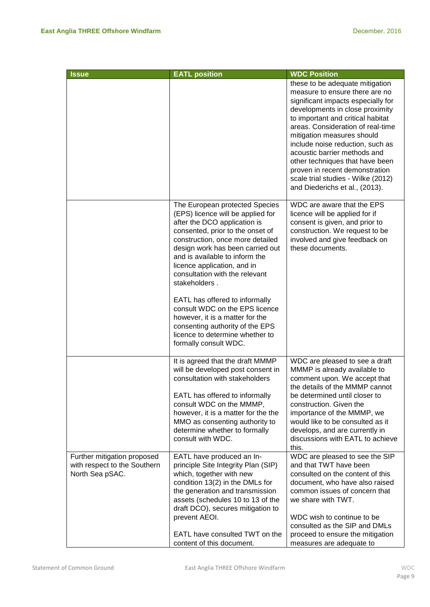| <b>Issue</b>                                                                   | <b>EATL position</b>                                                                                                                                                                                                                                                                                                                                                                                                                                                                                                                      | <b>WDC Position</b>                                                                                                                                                                                                                                                                                                                                                                                                                                                 |
|--------------------------------------------------------------------------------|-------------------------------------------------------------------------------------------------------------------------------------------------------------------------------------------------------------------------------------------------------------------------------------------------------------------------------------------------------------------------------------------------------------------------------------------------------------------------------------------------------------------------------------------|---------------------------------------------------------------------------------------------------------------------------------------------------------------------------------------------------------------------------------------------------------------------------------------------------------------------------------------------------------------------------------------------------------------------------------------------------------------------|
|                                                                                |                                                                                                                                                                                                                                                                                                                                                                                                                                                                                                                                           | these to be adequate mitigation<br>measure to ensure there are no<br>significant impacts especially for<br>developments in close proximity<br>to important and critical habitat<br>areas. Consideration of real-time<br>mitigation measures should<br>include noise reduction, such as<br>acoustic barrier methods and<br>other techniques that have been<br>proven in recent demonstration<br>scale trial studies - Wilke (2012)<br>and Diederichs et al., (2013). |
|                                                                                | The European protected Species<br>(EPS) licence will be applied for<br>after the DCO application is<br>consented, prior to the onset of<br>construction, once more detailed<br>design work has been carried out<br>and is available to inform the<br>licence application, and in<br>consultation with the relevant<br>stakeholders.<br>EATL has offered to informally<br>consult WDC on the EPS licence<br>however, it is a matter for the<br>consenting authority of the EPS<br>licence to determine whether to<br>formally consult WDC. | WDC are aware that the EPS<br>licence will be applied for if<br>consent is given, and prior to<br>construction. We request to be<br>involved and give feedback on<br>these documents.                                                                                                                                                                                                                                                                               |
|                                                                                | It is agreed that the draft MMMP<br>will be developed post consent in<br>consultation with stakeholders<br>EATL has offered to informally<br>consult WDC on the MMMP,<br>however, it is a matter for the the<br>MMO as consenting authority to<br>determine whether to formally<br>consult with WDC.                                                                                                                                                                                                                                      | WDC are pleased to see a draft<br>MMMP is already available to<br>comment upon. We accept that<br>the details of the MMMP cannot<br>be determined until closer to<br>construction. Given the<br>importance of the MMMP, we<br>would like to be consulted as it<br>develops, and are currently in<br>discussions with EATL to achieve<br>this.                                                                                                                       |
| Further mitigation proposed<br>with respect to the Southern<br>North Sea pSAC. | EATL have produced an In-<br>principle Site Integrity Plan (SIP)<br>which, together with new<br>condition 13(2) in the DMLs for<br>the generation and transmission<br>assets (schedules 10 to 13 of the<br>draft DCO), secures mitigation to<br>prevent AEOI.<br>EATL have consulted TWT on the<br>content of this document.                                                                                                                                                                                                              | WDC are pleased to see the SIP<br>and that TWT have been<br>consulted on the content of this<br>document, who have also raised<br>common issues of concern that<br>we share with TWT.<br>WDC wish to continue to be<br>consulted as the SIP and DMLs<br>proceed to ensure the mitigation<br>measures are adequate to                                                                                                                                                |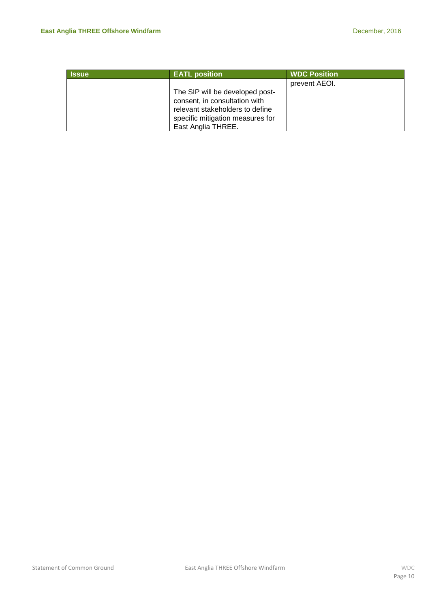| <b>Issue</b> | <b>EATL position</b>             | <b>WDC Position</b> |
|--------------|----------------------------------|---------------------|
|              |                                  | prevent AEOI.       |
|              | The SIP will be developed post-  |                     |
|              | consent, in consultation with    |                     |
|              | relevant stakeholders to define  |                     |
|              | specific mitigation measures for |                     |
|              | East Anglia THREE.               |                     |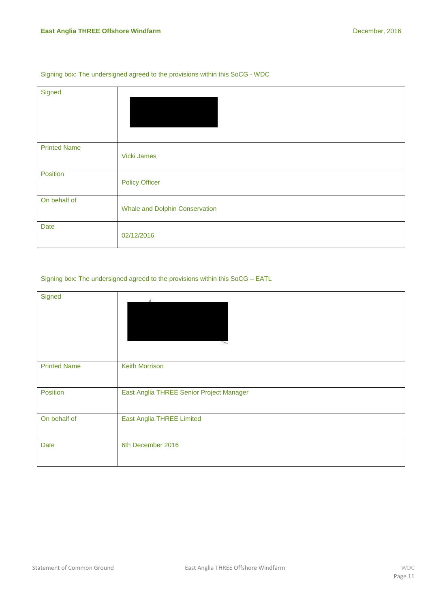#### Signing box: The undersigned agreed to the provisions within this SoCG - WDC

| Signed              |                                       |
|---------------------|---------------------------------------|
|                     |                                       |
|                     |                                       |
|                     |                                       |
| <b>Printed Name</b> |                                       |
|                     | Vicki James                           |
| Position            |                                       |
|                     | <b>Policy Officer</b>                 |
| On behalf of        |                                       |
|                     | <b>Whale and Dolphin Conservation</b> |
| <b>Date</b>         |                                       |
|                     | 02/12/2016                            |

#### Signing box: The undersigned agreed to the provisions within this SoCG – EATL

| Signed              |                                          |
|---------------------|------------------------------------------|
| <b>Printed Name</b> | <b>Keith Morrison</b>                    |
| Position            | East Anglia THREE Senior Project Manager |
| On behalf of        | <b>East Anglia THREE Limited</b>         |
| Date                | 6th December 2016                        |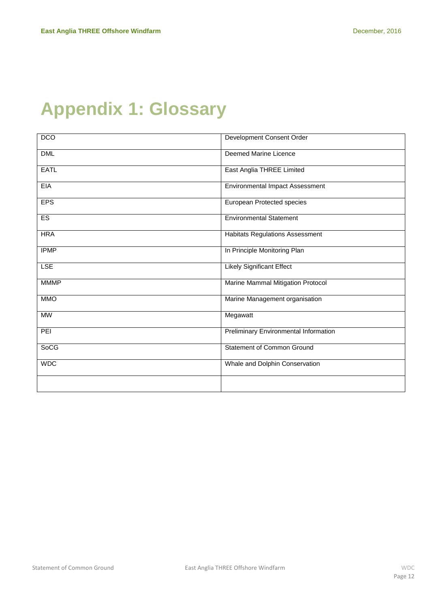# <span id="page-11-0"></span>**Appendix 1: Glossary**

| <b>DCO</b>  | Development Consent Order              |
|-------------|----------------------------------------|
| <b>DML</b>  | Deemed Marine Licence                  |
| <b>EATL</b> | East Anglia THREE Limited              |
| EIA         | <b>Environmental Impact Assessment</b> |
| <b>EPS</b>  | European Protected species             |
| ES          | <b>Environmental Statement</b>         |
| <b>HRA</b>  | <b>Habitats Regulations Assessment</b> |
| <b>IPMP</b> | In Principle Monitoring Plan           |
| <b>LSE</b>  | <b>Likely Significant Effect</b>       |
| <b>MMMP</b> | Marine Mammal Mitigation Protocol      |
| <b>MMO</b>  | Marine Management organisation         |
| <b>MW</b>   | Megawatt                               |
| PEI         | Preliminary Environmental Information  |
| <b>SoCG</b> | <b>Statement of Common Ground</b>      |
| <b>WDC</b>  | Whale and Dolphin Conservation         |
|             |                                        |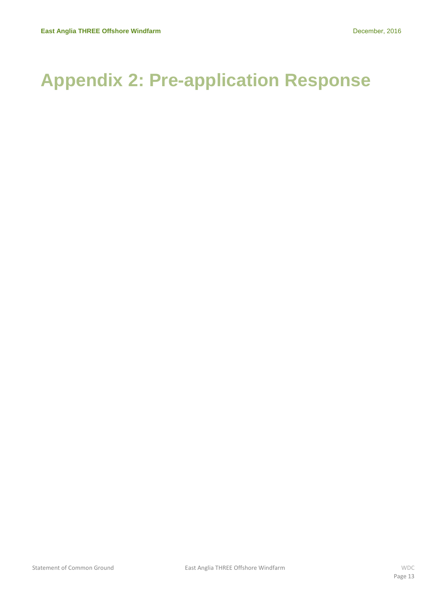# <span id="page-12-0"></span>**Appendix 2: Pre-application Response**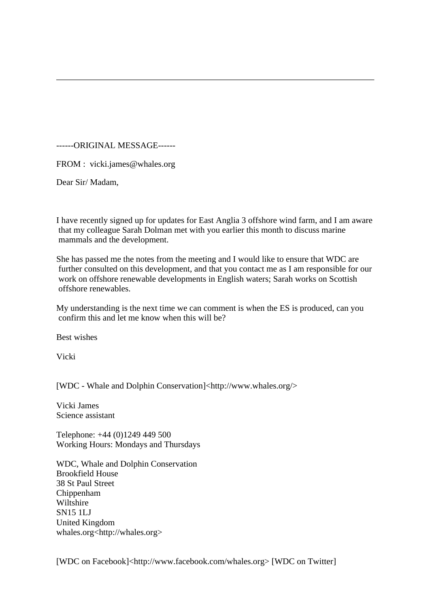------ORIGINAL MESSAGE------

FROM : vicki.james@whales.org

Dear Sir/ Madam,

I have recently signed up for updates for East Anglia 3 offshore wind farm, and I am aware that my colleague Sarah Dolman met with you earlier this month to discuss marine mammals and the development.

She has passed me the notes from the meeting and I would like to ensure that WDC are further consulted on this development, and that you contact me as I am responsible for our work on offshore renewable developments in English waters; Sarah works on Scottish offshore renewables.

My understanding is the next time we can comment is when the ES is produced, can you confirm this and let me know when this will be?

Best wishes

Vicki

[WDC - Whale and Dolphin Conservation]<http://www.whales.org/>

Vicki James Science assistant

Telephone: +44 (0)1249 449 500 Working Hours: Mondays and Thursdays

WDC, Whale and Dolphin Conservation Brookfield House 38 St Paul Street Chippenham Wiltshire SN15 1LJ United Kingdom whales.org<http://whales.org>

[WDC on Facebook]<http://www.facebook.com/whales.org> [WDC on Twitter]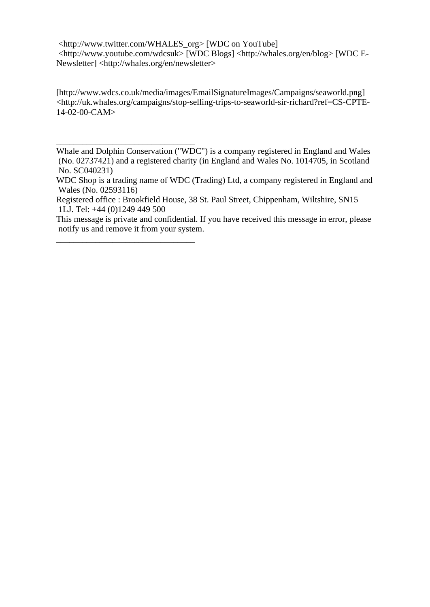<http://www.twitter.com/WHALES\_org> [WDC on YouTube] <http://www.youtube.com/wdcsuk> [WDC Blogs] <http://whales.org/en/blog> [WDC E-Newsletter] <http://whales.org/en/newsletter>

[http://www.wdcs.co.uk/media/images/EmailSignatureImages/Campaigns/seaworld.png] <http://uk.whales.org/campaigns/stop-selling-trips-to-seaworld-sir-richard?ref=CS-CPTE-14-02-00-CAM>

Whale and Dolphin Conservation ("WDC") is a company registered in England and Wales (No. 02737421) and a registered charity (in England and Wales No. 1014705, in Scotland No. SC040231)

\_\_\_\_\_\_\_\_\_\_\_\_\_\_\_\_\_\_\_\_\_\_\_\_\_\_\_\_\_\_\_\_

\_\_\_\_\_\_\_\_\_\_\_\_\_\_\_\_\_\_\_\_\_\_\_\_\_\_\_\_\_\_\_\_

WDC Shop is a trading name of WDC (Trading) Ltd, a company registered in England and Wales (No. 02593116)

Registered office : Brookfield House, 38 St. Paul Street, Chippenham, Wiltshire, SN15 1LJ. Tel: +44 (0)1249 449 500

This message is private and confidential. If you have received this message in error, please notify us and remove it from your system.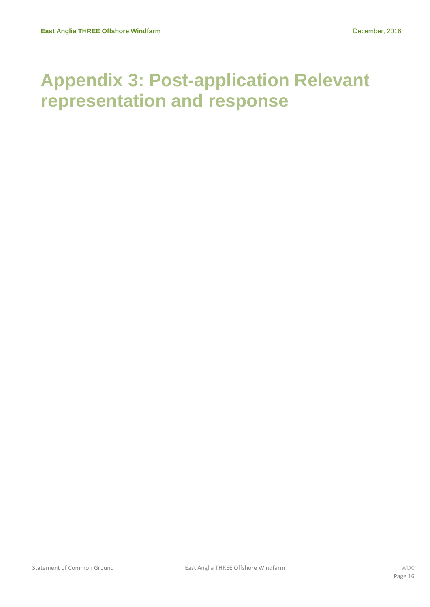## <span id="page-15-0"></span>**Appendix 3: Post-application Relevant representation and response**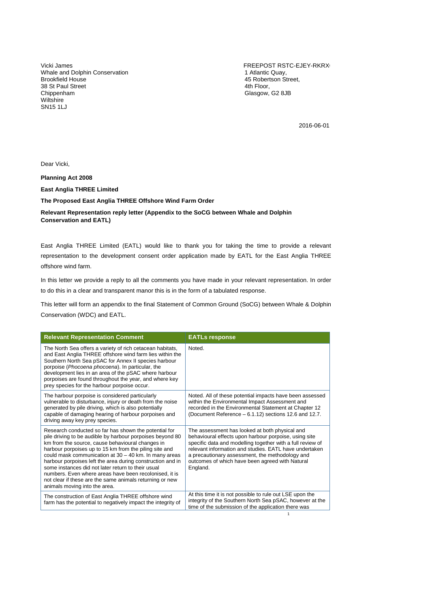Vicki James Whale and Dolphin Conservation Brookfield House 38 St Paul Street Chippenham Wiltshire SN15 1LJ

FREEPOST RSTC-EJEY-RKRX 1 Atlantic Quay, 45 Robertson Street, 4th Floor, Glasgow, G2 8JB

2016-06-01

Dear Vicki,

**Planning Act 2008**

**East Anglia THREE Limited**

**The Proposed East Anglia THREE Offshore Wind Farm Order**

#### **Relevant Representation reply letter (Appendix to the SoCG between Whale and Dolphin Conservation and EATL)**

East Anglia THREE Limited (EATL) would like to thank you for taking the time to provide a relevant representation to the development consent order application made by EATL for the East Anglia THREE offshore wind farm.

In this letter we provide a reply to all the comments you have made in your relevant representation. In order to do this in a clear and transparent manor this is in the form of a tabulated response.

This letter will form an appendix to the final Statement of Common Ground (SoCG) between Whale & Dolphin Conservation (WDC) and EATL.

| <b>Relevant Representation Comment</b>                                                                                                                                                                                                                                                                                                                                                                                                                                                                                                                                 | <b>EATLs response</b>                                                                                                                                                                                                                                                                                                                             |
|------------------------------------------------------------------------------------------------------------------------------------------------------------------------------------------------------------------------------------------------------------------------------------------------------------------------------------------------------------------------------------------------------------------------------------------------------------------------------------------------------------------------------------------------------------------------|---------------------------------------------------------------------------------------------------------------------------------------------------------------------------------------------------------------------------------------------------------------------------------------------------------------------------------------------------|
| The North Sea offers a variety of rich cetacean habitats,<br>and East Anglia THREE offshore wind farm lies within the<br>Southern North Sea pSAC for Annex II species harbour<br>porpoise (Phocoena phocoena). In particular, the<br>development lies in an area of the pSAC where harbour<br>porpoises are found throughout the year, and where key<br>prey species for the harbour porpoise occur.                                                                                                                                                                   | Noted.                                                                                                                                                                                                                                                                                                                                            |
| The harbour porpoise is considered particularly<br>vulnerable to disturbance, injury or death from the noise<br>generated by pile driving, which is also potentially<br>capable of damaging hearing of harbour porpoises and<br>driving away key prey species.                                                                                                                                                                                                                                                                                                         | Noted. All of these potential impacts have been assessed<br>within the Environmental Impact Assessment and<br>recorded in the Environmental Statement at Chapter 12<br>(Document Reference - 6.1.12) sections 12.6 and 12.7.                                                                                                                      |
| Research conducted so far has shown the potential for<br>pile driving to be audible by harbour porpoises beyond 80<br>km from the source, cause behavioural changes in<br>harbour porpoises up to 15 km from the piling site and<br>could mask communication at $30 - 40$ km. In many areas<br>harbour porpoises left the area during construction and in<br>some instances did not later return to their usual<br>numbers. Even where areas have been recolonised, it is<br>not clear if these are the same animals returning or new<br>animals moving into the area. | The assessment has looked at both physical and<br>behavioural effects upon harbour porpoise, using site<br>specific data and modelling together with a full review of<br>relevant information and studies. EATL have undertaken<br>a precautionary assessment, the methodology and<br>outcomes of which have been agreed with Natural<br>England. |
| The construction of East Anglia THREE offshore wind<br>farm has the potential to negatively impact the integrity of                                                                                                                                                                                                                                                                                                                                                                                                                                                    | At this time it is not possible to rule out LSE upon the<br>integrity of the Southern North Sea pSAC, however at the<br>time of the submission of the application there was                                                                                                                                                                       |
|                                                                                                                                                                                                                                                                                                                                                                                                                                                                                                                                                                        | 1                                                                                                                                                                                                                                                                                                                                                 |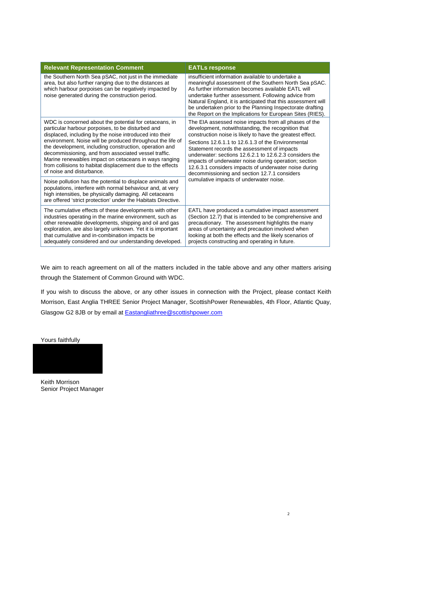| <b>Relevant Representation Comment</b>                                                                                                                                                                                                                                                                                                                                                                                                                                                                                                                                                                                                                                                                                                                           | <b>EATLs response</b>                                                                                                                                                                                                                                                                                                                                                                                                                                                                                                                                 |
|------------------------------------------------------------------------------------------------------------------------------------------------------------------------------------------------------------------------------------------------------------------------------------------------------------------------------------------------------------------------------------------------------------------------------------------------------------------------------------------------------------------------------------------------------------------------------------------------------------------------------------------------------------------------------------------------------------------------------------------------------------------|-------------------------------------------------------------------------------------------------------------------------------------------------------------------------------------------------------------------------------------------------------------------------------------------------------------------------------------------------------------------------------------------------------------------------------------------------------------------------------------------------------------------------------------------------------|
| the Southern North Sea pSAC, not just in the immediate<br>area, but also further ranging due to the distances at<br>which harbour porpoises can be negatively impacted by<br>noise generated during the construction period.                                                                                                                                                                                                                                                                                                                                                                                                                                                                                                                                     | insufficient information available to undertake a<br>meaningful assessment of the Southern North Sea pSAC.<br>As further information becomes available EATL will<br>undertake further assessment. Following advice from<br>Natural England, it is anticipated that this assessment will<br>be undertaken prior to the Planning Inspectorate drafting<br>the Report on the Implications for European Sites (RIES).                                                                                                                                     |
| WDC is concerned about the potential for cetaceans, in<br>particular harbour porpoises, to be disturbed and<br>displaced, including by the noise introduced into their<br>environment. Noise will be produced throughout the life of<br>the development, including construction, operation and<br>decommissioning, and from associated vessel traffic.<br>Marine renewables impact on cetaceans in ways ranging<br>from collisions to habitat displacement due to the effects<br>of noise and disturbance.<br>Noise pollution has the potential to displace animals and<br>populations, interfere with normal behaviour and, at very<br>high intensities, be physically damaging. All cetaceans<br>are offered 'strict protection' under the Habitats Directive. | The EIA assessed noise impacts from all phases of the<br>development, notwithstanding, the recognition that<br>construction noise is likely to have the greatest effect.<br>Sections 12.6.1.1 to 12.6.1.3 of the Environmental<br>Statement records the assessment of impacts<br>underwater: sections 12.6.2.1 to 12.6.2.3 considers the<br>impacts of underwater noise during operation; section<br>12.6.3.1 considers impacts of underwater noise during<br>decommissioning and section 12.7.1 considers<br>cumulative impacts of underwater noise. |
| The cumulative effects of these developments with other<br>industries operating in the marine environment, such as<br>other renewable developments, shipping and oil and gas<br>exploration, are also largely unknown. Yet it is important<br>that cumulative and in-combination impacts be<br>adequately considered and our understanding developed.                                                                                                                                                                                                                                                                                                                                                                                                            | EATL have produced a cumulative impact assessment<br>(Section 12.7) that is intended to be comprehensive and<br>precautionary. The assessment highlights the many<br>areas of uncertainty and precaution involved when<br>looking at both the effects and the likely scenarios of<br>projects constructing and operating in future.                                                                                                                                                                                                                   |

We aim to reach agreement on all of the matters included in the table above and any other matters arising through the Statement of Common Ground with WDC.

If you wish to discuss the above, or any other issues in connection with the Project, please contact Keith Morrison, East Anglia THREE Senior Project Manager, ScottishPower Renewables, 4th Floor, Atlantic Quay, Glasgow G2 8JB or by email at **Eastangliathree@scottishpower.com** 

2

Yours faithfully



Keith Morrison Senior Project Manager